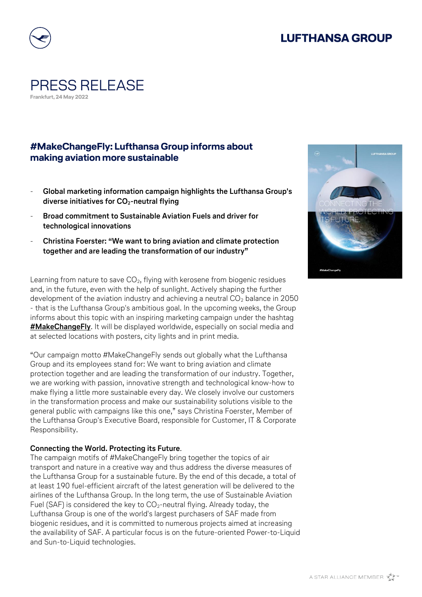# **LUFTHANSA GROUP**



### PRESS RELEASE **Frankfurt, 24 May 2022**

### **#MakeChangeFly: Lufthansa Group informs about making aviation more sustainable**

- **Global marketing information campaign highlights the Lufthansa Group's diverse initiatives for CO2-neutral flying**
- **Broad commitment to Sustainable Aviation Fuels and driver for technological innovations**
- **Christina Foerster: "We want to bring aviation and climate protection together and are leading the transformation of our industry"**

Learning from nature to save  $CO<sub>2</sub>$ , flying with kerosene from biogenic residues and, in the future, even with the help of sunlight. Actively shaping the further development of the aviation industry and achieving a neutral  $CO<sub>2</sub>$  balance in 2050 - that is the Lufthansa Group's ambitious goal. In the upcoming weeks, the Group informs about this topic with an inspiring marketing campaign under the hashtag **[#MakeChangeFly](https://makechangefly.com/)**. It will be displayed worldwide, especially on social media and at selected locations with posters, city lights and in print media.

"Our campaign motto #MakeChangeFly sends out globally what the Lufthansa Group and its employees stand for: We want to bring aviation and climate protection together and are leading the transformation of our industry. Together, we are working with passion, innovative strength and technological know-how to make flying a little more sustainable every day. We closely involve our customers in the transformation process and make our sustainability solutions visible to the general public with campaigns like this one," says Christina Foerster, Member of the Lufthansa Group's Executive Board, responsible for Customer, IT & Corporate Responsibility.

#### **Connecting the World. Protecting its Future**.

The campaign motifs of #MakeChangeFly bring together the topics of air transport and nature in a creative way and thus address the diverse measures of the Lufthansa Group for a sustainable future. By the end of this decade, a total of at least 190 fuel-efficient aircraft of the latest generation will be delivered to the airlines of the Lufthansa Group. In the long term, the use of Sustainable Aviation Fuel (SAF) is considered the key to  $CO_2$ -neutral flying. Already today, the Lufthansa Group is one of the world's largest purchasers of SAF made from biogenic residues, and it is committed to numerous projects aimed at increasing the availability of SAF. A particular focus is on the future-oriented Power-to-Liquid and Sun-to-Liquid technologies.